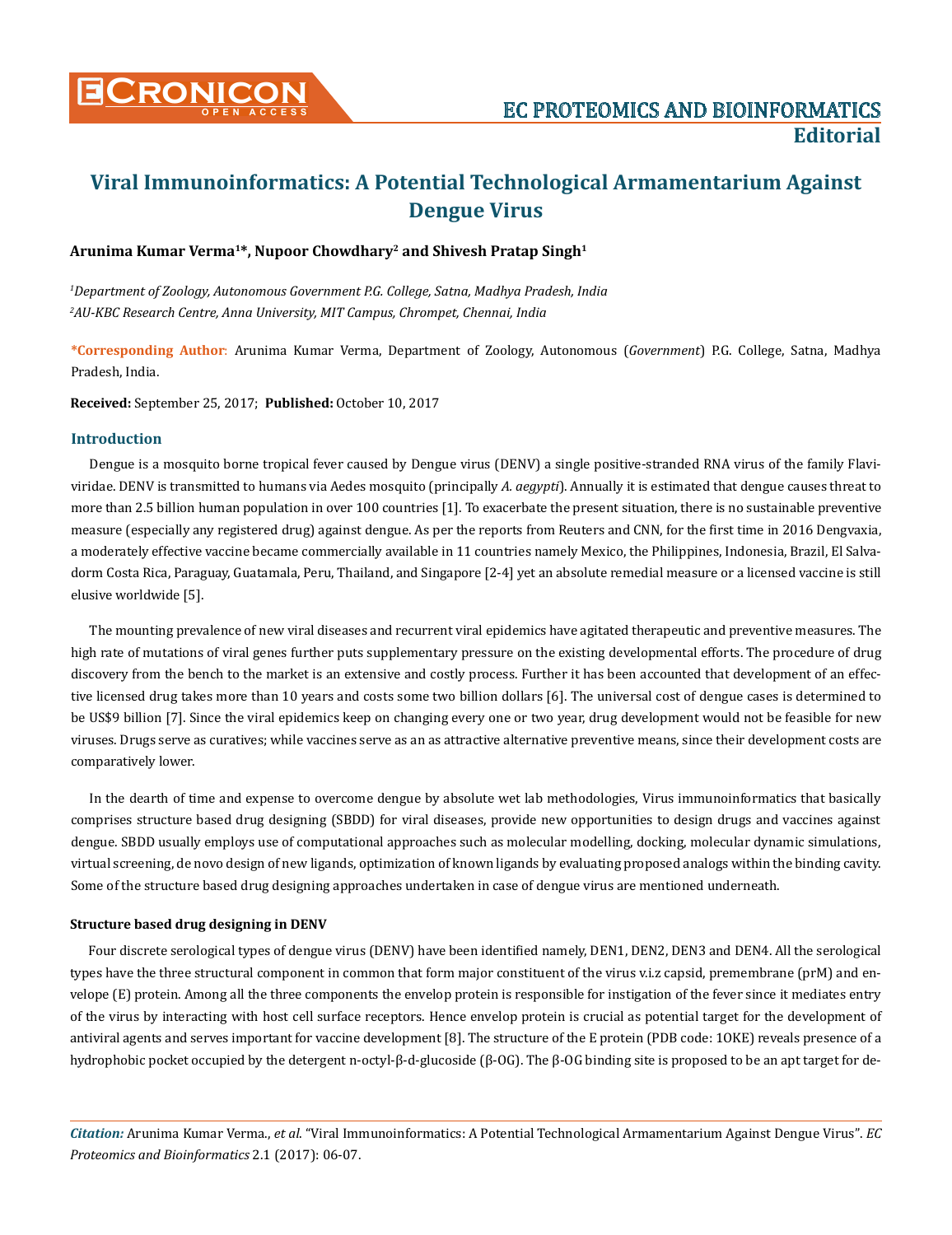

# **Viral Immunoinformatics: A Potential Technological Armamentarium Against Dengue Virus**

## **Arunima Kumar Verma1\*, Nupoor Chowdhary2 and Shivesh Pratap Singh1**

*1 Department of Zoology, Autonomous Government P.G. College, Satna, Madhya Pradesh, India 2 AU-KBC Research Centre, Anna University, MIT Campus, Chrompet, Chennai, India*

**\*Corresponding Author**: Arunima Kumar Verma, Department of Zoology, Autonomous (*Government*) P.G. College, Satna, Madhya Pradesh, India.

**Received:** September 25, 2017; **Published:** October 10, 2017

### **Introduction**

Dengue is a mosquito borne tropical fever caused by Dengue virus (DENV) a single positive-stranded RNA virus of the family Flaviviridae. DENV is transmitted to humans via Aedes mosquito (principally *A. aegypti*). Annually it is estimated that dengue causes threat to more than 2.5 billion human population in over 100 countries [1]. To exacerbate the present situation, there is no sustainable preventive measure (especially any registered drug) against dengue. As per the reports from Reuters and CNN, for the first time in 2016 Dengvaxia, a moderately effective vaccine became commercially available in 11 countries namely Mexico, the Philippines, Indonesia, Brazil, El Salvadorm Costa Rica, Paraguay, Guatamala, Peru, Thailand, and Singapore [2-4] yet an absolute remedial measure or a licensed vaccine is still elusive worldwide [5].

The mounting prevalence of new viral diseases and recurrent viral epidemics have agitated therapeutic and preventive measures. The high rate of mutations of viral genes further puts supplementary pressure on the existing developmental efforts. The procedure of drug discovery from the bench to the market is an extensive and costly process. Further it has been accounted that development of an effective licensed drug takes more than 10 years and costs some two billion dollars [6]. The universal cost of dengue cases is determined to be US\$9 billion [7]. Since the viral epidemics keep on changing every one or two year, drug development would not be feasible for new viruses. Drugs serve as curatives; while vaccines serve as an as attractive alternative preventive means, since their development costs are comparatively lower.

In the dearth of time and expense to overcome dengue by absolute wet lab methodologies, Virus immunoinformatics that basically comprises structure based drug designing (SBDD) for viral diseases, provide new opportunities to design drugs and vaccines against dengue. SBDD usually employs use of computational approaches such as molecular modelling, docking, molecular dynamic simulations, virtual screening, de novo design of new ligands, optimization of known ligands by evaluating proposed analogs within the binding cavity. Some of the structure based drug designing approaches undertaken in case of dengue virus are mentioned underneath.

### **Structure based drug designing in DENV**

Four discrete serological types of dengue virus (DENV) have been identified namely, DEN1, DEN2, DEN3 and DEN4. All the serological types have the three structural component in common that form major constituent of the virus v.i.z capsid, premembrane (prM) and envelope (E) protein. Among all the three components the envelop protein is responsible for instigation of the fever since it mediates entry of the virus by interacting with host cell surface receptors. Hence envelop protein is crucial as potential target for the development of antiviral agents and serves important for vaccine development [8]. The structure of the E protein (PDB code: 1OKE) reveals presence of a hydrophobic pocket occupied by the detergent n-octyl-β-d-glucoside (β-OG). The β-OG binding site is proposed to be an apt target for de-

*Citation:* Arunima Kumar Verma., *et al*. "Viral Immunoinformatics: A Potential Technological Armamentarium Against Dengue Virus". *EC Proteomics and Bioinformatics* 2.1 (2017): 06-07.